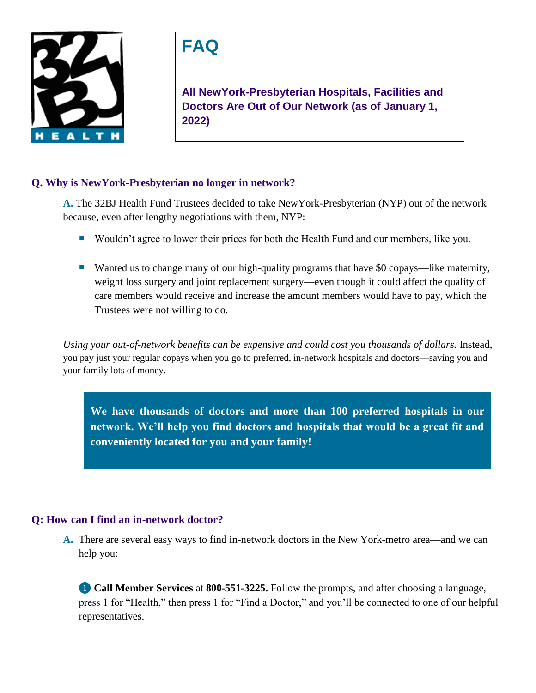

# **FAQ**

**All NewYork-Presbyterian Hospitals, Facilities and Doctors Are Out of Our Network (as of January 1, 2022)**

## **Q. Why is NewYork-Presbyterian no longer in network?**

**A.** The 32BJ Health Fund Trustees decided to take NewYork-Presbyterian (NYP) out of the network because, even after lengthy negotiations with them, NYP:

- **Wouldn't agree to lower their prices for both the Health Fund and our members, like you.**
- Wanted us to change many of our high-quality programs that have \$0 copays—like maternity, weight loss surgery and joint replacement surgery—even though it could affect the quality of care members would receive and increase the amount members would have to pay, which the Trustees were not willing to do.

*Using your out-of-network benefits can be expensive and could cost you thousands of dollars.* Instead, you pay just your regular copays when you go to preferred, in-network hospitals and doctors—saving you and your family lots of money.

**We have thousands of doctors and more than 100 preferred hospitals in our network. We'll help you find doctors and hospitals that would be a great fit and conveniently located for you and your family!** 

# **Q: How can I find an in-network doctor?**

**A.** There are several easy ways to find in-network doctors in the New York-metro area—and we can help you:

❶ **Call Member Services** at **800-551-3225.** Follow the prompts, and after choosing a language, press 1 for "Health," then press 1 for "Find a Doctor," and you'll be connected to one of our helpful representatives.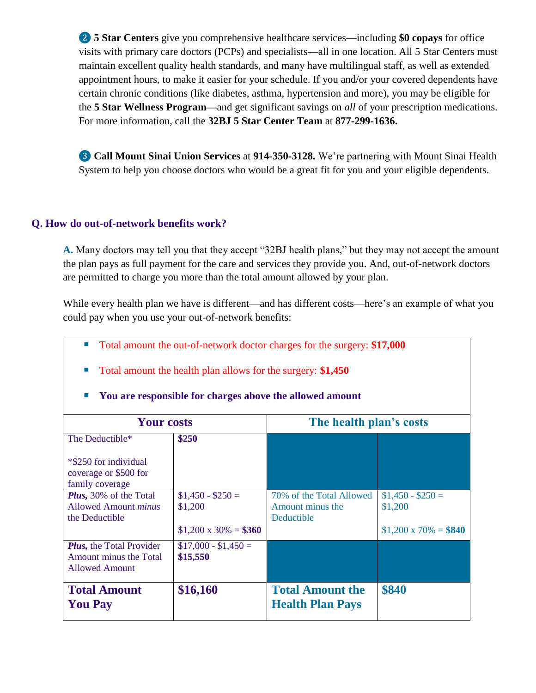❷ **5 Star Centers** give you comprehensive healthcare services—including **\$0 copays** for office visits with primary care doctors (PCPs) and specialists—all in one location. All 5 Star Centers must maintain excellent quality health standards, and many have multilingual staff, as well as extended appointment hours, to make it easier for your schedule. If you and/or your covered dependents have certain chronic conditions (like diabetes, asthma, hypertension and more), you may be eligible for the **5 Star Wellness Program—**and get significant savings on *all* of your prescription medications. For more information, call the **32BJ 5 Star Center Team** at **877-299-1636.**

❸ **Call Mount Sinai Union Services** at **914-350-3128.** We're partnering with Mount Sinai Health System to help you choose doctors who would be a great fit for you and your eligible dependents.

## **Q. How do out-of-network benefits work?**

**A.** Many doctors may tell you that they accept "32BJ health plans," but they may not accept the amount the plan pays as full payment for the care and services they provide you. And, out-of-network doctors are permitted to charge you more than the total amount allowed by your plan.

While every health plan we have is different—and has different costs—here's an example of what you could pay when you use your out-of-network benefits:

- Total amount the out-of-network doctor charges for the surgery: **\$17,000**
- Total amount the health plan allows for the surgery: \$1,450

| <b>Your costs</b>                                                                  |                                  | The health plan's costs                                    |                              |
|------------------------------------------------------------------------------------|----------------------------------|------------------------------------------------------------|------------------------------|
| The Deductible*                                                                    | \$250                            |                                                            |                              |
| *\$250 for individual<br>coverage or \$500 for<br>family coverage                  |                                  |                                                            |                              |
| Plus, 30% of the Total<br><b>Allowed Amount <i>minus</i></b><br>the Deductible     | $$1,450 - $250 =$<br>\$1,200     | 70% of the Total Allowed<br>Amount minus the<br>Deductible | $$1,450 - $250 =$<br>\$1,200 |
|                                                                                    | $$1,200 \times 30\% = $360$      |                                                            | $$1,200 \times 70\% = $840$  |
| <b>Plus, the Total Provider</b><br>Amount minus the Total<br><b>Allowed Amount</b> | $$17,000 - $1,450 =$<br>\$15,550 |                                                            |                              |
| <b>Total Amount</b><br><b>You Pay</b>                                              | \$16,160                         | <b>Total Amount the</b><br><b>Health Plan Pays</b>         | \$840                        |

#### **You are responsible for charges above the allowed amount**